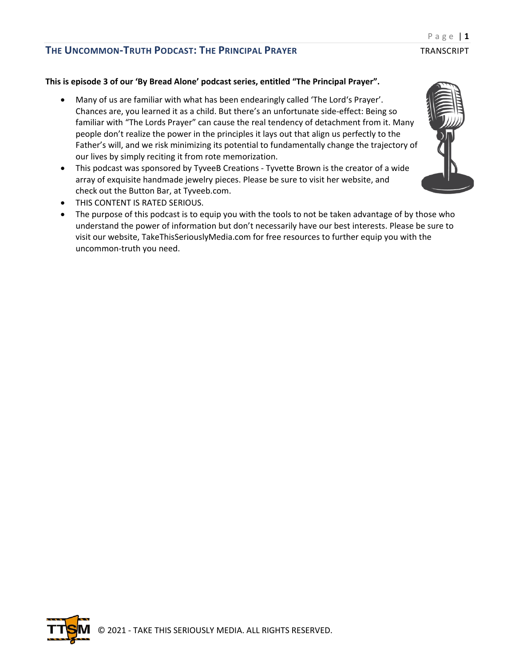#### **This is episode 3 of our 'By Bread Alone' podcast series, entitled "The Principal Prayer".**

- Many of us are familiar with what has been endearingly called 'The Lord's Prayer'. Chances are, you learned it as a child. But there's an unfortunate side-effect: Being so familiar with "The Lords Prayer" can cause the real tendency of detachment from it. Many people don't realize the power in the principles it lays out that align us perfectly to the Father's will, and we risk minimizing its potential to fundamentally change the trajectory of our lives by simply reciting it from rote memorization.
- This podcast was sponsored by TyveeB Creations Tyvette Brown is the creator of a wide array of exquisite handmade jewelry pieces. Please be sure to visit her website, and check out the Button Bar, at Tyveeb.com.
- THIS CONTENT IS RATED SERIOUS.
- The purpose of this podcast is to equip you with the tools to not be taken advantage of by those who understand the power of information but don't necessarily have our best interests. Please be sure to visit our website, TakeThisSeriouslyMedia.com for free resources to further equip you with the uncommon-truth you need.

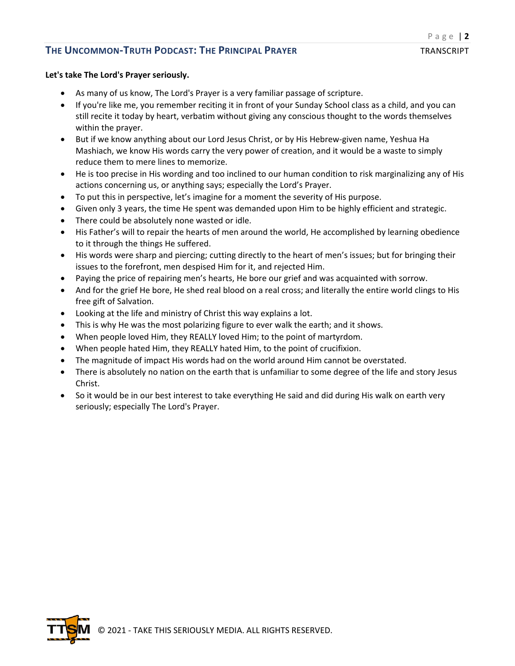#### **Let's take The Lord's Prayer seriously.**

- As many of us know, The Lord's Prayer is a very familiar passage of scripture.
- If you're like me, you remember reciting it in front of your Sunday School class as a child, and you can still recite it today by heart, verbatim without giving any conscious thought to the words themselves within the prayer.
- But if we know anything about our Lord Jesus Christ, or by His Hebrew-given name, Yeshua Ha Mashiach, we know His words carry the very power of creation, and it would be a waste to simply reduce them to mere lines to memorize.
- He is too precise in His wording and too inclined to our human condition to risk marginalizing any of His actions concerning us, or anything says; especially the Lord's Prayer.
- To put this in perspective, let's imagine for a moment the severity of His purpose.
- Given only 3 years, the time He spent was demanded upon Him to be highly efficient and strategic.
- There could be absolutely none wasted or idle.
- His Father's will to repair the hearts of men around the world, He accomplished by learning obedience to it through the things He suffered.
- His words were sharp and piercing; cutting directly to the heart of men's issues; but for bringing their issues to the forefront, men despised Him for it, and rejected Him.
- Paying the price of repairing men's hearts, He bore our grief and was acquainted with sorrow.
- And for the grief He bore, He shed real blood on a real cross; and literally the entire world clings to His free gift of Salvation.
- Looking at the life and ministry of Christ this way explains a lot.
- This is why He was the most polarizing figure to ever walk the earth; and it shows.
- When people loved Him, they REALLY loved Him; to the point of martyrdom.
- When people hated Him, they REALLY hated Him, to the point of crucifixion.
- The magnitude of impact His words had on the world around Him cannot be overstated.
- There is absolutely no nation on the earth that is unfamiliar to some degree of the life and story Jesus Christ.
- So it would be in our best interest to take everything He said and did during His walk on earth very seriously; especially The Lord's Prayer.

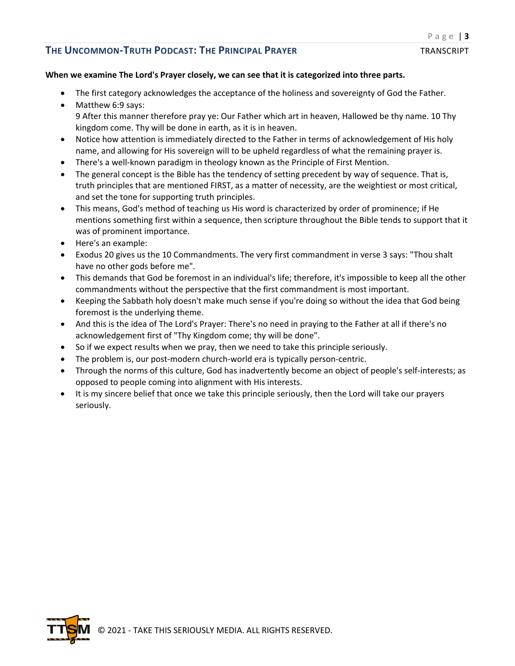### **When we examine The Lord's Prayer closely, we can see that it is categorized into three parts.**

- The first category acknowledges the acceptance of the holiness and sovereignty of God the Father.
- Matthew 6:9 says: 9 After this manner therefore pray ye: Our Father which art in heaven, Hallowed be thy name. 10 Thy kingdom come. Thy will be done in earth, as it is in heaven.
- Notice how attention is immediately directed to the Father in terms of acknowledgement of His holy name, and allowing for His sovereign will to be upheld regardless of what the remaining prayer is.
- There's a well-known paradigm in theology known as the Principle of First Mention.
- The general concept is the Bible has the tendency of setting precedent by way of sequence. That is, truth principles that are mentioned FIRST, as a matter of necessity, are the weightiest or most critical, and set the tone for supporting truth principles.
- This means, God's method of teaching us His word is characterized by order of prominence; if He mentions something first within a sequence, then scripture throughout the Bible tends to support that it was of prominent importance.
- Here's an example:
- Exodus 20 gives us the 10 Commandments. The very first commandment in verse 3 says: "Thou shalt have no other gods before me".
- This demands that God be foremost in an individual's life; therefore, it's impossible to keep all the other commandments without the perspective that the first commandment is most important.
- Keeping the Sabbath holy doesn't make much sense if you're doing so without the idea that God being foremost is the underlying theme.
- And this is the idea of The Lord's Prayer: There's no need in praying to the Father at all if there's no acknowledgement first of "Thy Kingdom come; thy will be done".
- So if we expect results when we pray, then we need to take this principle seriously.
- The problem is, our post-modern church-world era is typically person-centric.
- Through the norms of this culture, God has inadvertently become an object of people's self-interests; as opposed to people coming into alignment with His interests.
- It is my sincere belief that once we take this principle seriously, then the Lord will take our prayers seriously.

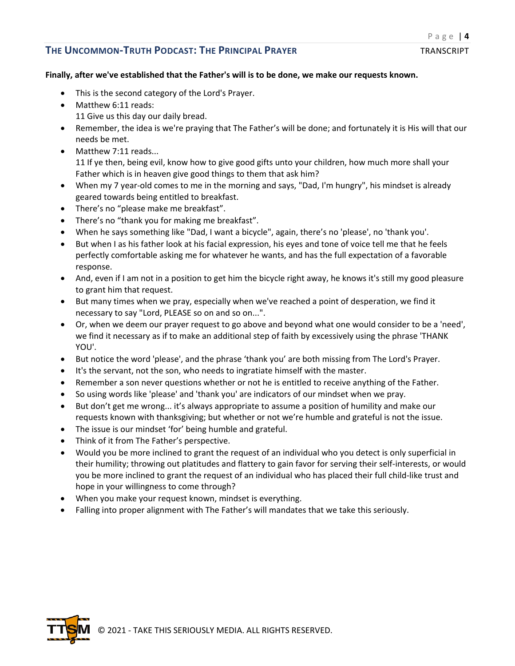#### Page | **4**

#### **Finally, after we've established that the Father's will is to be done, we make our requests known.**

- This is the second category of the Lord's Prayer.
- Matthew 6:11 reads:
	- 11 Give us this day our daily bread.
- Remember, the idea is we're praying that The Father's will be done; and fortunately it is His will that our needs be met.
- Matthew 7:11 reads... 11 If ye then, being evil, know how to give good gifts unto your children, how much more shall your Father which is in heaven give good things to them that ask him?
- When my 7 year-old comes to me in the morning and says, "Dad, I'm hungry", his mindset is already geared towards being entitled to breakfast.
- There's no "please make me breakfast".
- There's no "thank you for making me breakfast".
- When he says something like "Dad, I want a bicycle", again, there's no 'please', no 'thank you'.
- But when I as his father look at his facial expression, his eyes and tone of voice tell me that he feels perfectly comfortable asking me for whatever he wants, and has the full expectation of a favorable response.
- And, even if I am not in a position to get him the bicycle right away, he knows it's still my good pleasure to grant him that request.
- But many times when we pray, especially when we've reached a point of desperation, we find it necessary to say "Lord, PLEASE so on and so on...".
- Or, when we deem our prayer request to go above and beyond what one would consider to be a 'need', we find it necessary as if to make an additional step of faith by excessively using the phrase 'THANK YOU'.
- But notice the word 'please', and the phrase 'thank you' are both missing from The Lord's Prayer.
- It's the servant, not the son, who needs to ingratiate himself with the master.
- Remember a son never questions whether or not he is entitled to receive anything of the Father.
- So using words like 'please' and 'thank you' are indicators of our mindset when we pray.
- But don't get me wrong... it's always appropriate to assume a position of humility and make our requests known with thanksgiving; but whether or not we're humble and grateful is not the issue.
- The issue is our mindset 'for' being humble and grateful.
- Think of it from The Father's perspective.
- Would you be more inclined to grant the request of an individual who you detect is only superficial in their humility; throwing out platitudes and flattery to gain favor for serving their self-interests, or would you be more inclined to grant the request of an individual who has placed their full child-like trust and hope in your willingness to come through?
- When you make your request known, mindset is everything.
- Falling into proper alignment with The Father's will mandates that we take this seriously.